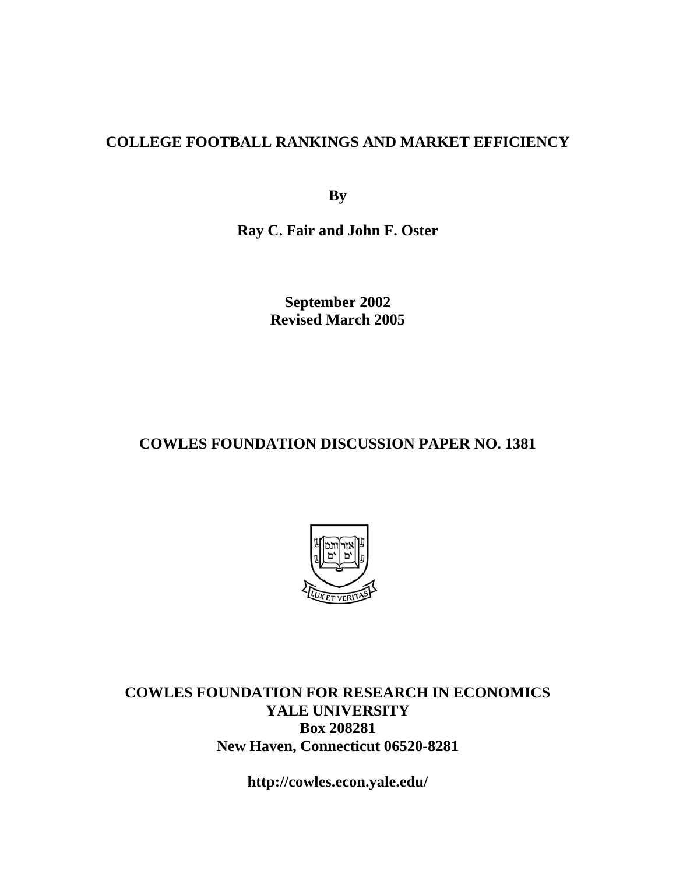#### **COLLEGE FOOTBALL RANKINGS AND MARKET EFFICIENCY**

**By** 

**Ray C. Fair and John F. Oster** 

**September 2002 Revised March 2005** 

#### **COWLES FOUNDATION DISCUSSION PAPER NO. 1381**



**COWLES FOUNDATION FOR RESEARCH IN ECONOMICS YALE UNIVERSITY Box 208281 New Haven, Connecticut 06520-8281** 

**http://cowles.econ.yale.edu/**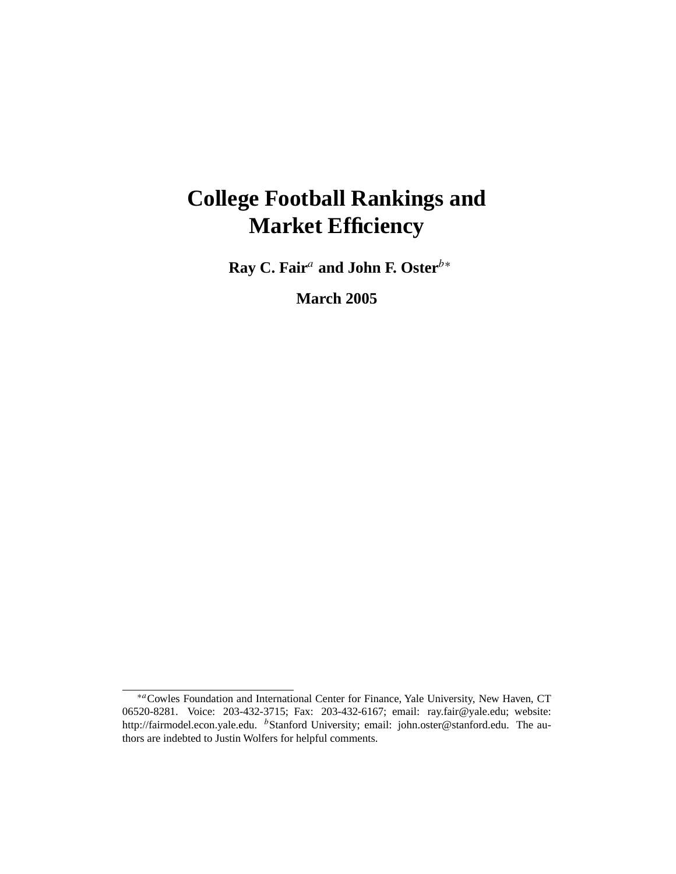## **College Football Rankings and Market Efficiency**

**Ray C. Fair<sup>***a***</sup> and John F. Oster<sup>***b∗***</sup></sub>** 

**March 2005**

<sup>∗</sup>aCowles Foundation and International Center for Finance, Yale University, New Haven, CT 06520-8281. Voice: 203-432-3715; Fax: 203-432-6167; email: ray.fair@yale.edu; website: http://fairmodel.econ.yale.edu. <sup>b</sup>Stanford University; email: john.oster@stanford.edu. The authors are indebted to Justin Wolfers for helpful comments.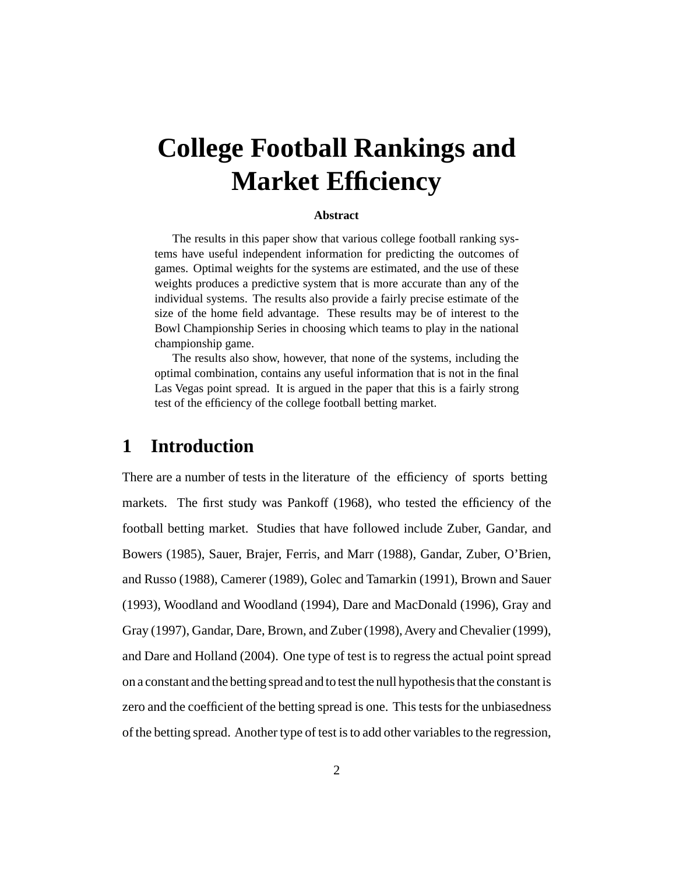# **College Football Rankings and Market Efficiency**

#### **Abstract**

The results in this paper show that various college football ranking systems have useful independent information for predicting the outcomes of games. Optimal weights for the systems are estimated, and the use of these weights produces a predictive system that is more accurate than any of the individual systems. The results also provide a fairly precise estimate of the size of the home field advantage. These results may be of interest to the Bowl Championship Series in choosing which teams to play in the national championship game.

The results also show, however, that none of the systems, including the optimal combination, contains any useful information that is not in the final Las Vegas point spread. It is argued in the paper that this is a fairly strong test of the efficiency of the college football betting market.

#### **1 Introduction**

There are a number of tests in the literature of the efficiency of sports betting markets. The first study was Pankoff (1968), who tested the efficiency of the football betting market. Studies that have followed include Zuber, Gandar, and Bowers (1985), Sauer, Brajer, Ferris, and Marr (1988), Gandar, Zuber, O'Brien, and Russo (1988), Camerer (1989), Golec and Tamarkin (1991), Brown and Sauer (1993), Woodland and Woodland (1994), Dare and MacDonald (1996), Gray and Gray (1997), Gandar, Dare, Brown, and Zuber (1998), Avery and Chevalier (1999), and Dare and Holland (2004). One type of test is to regress the actual point spread on a constant and the betting spread and to test the null hypothesis that the constant is zero and the coefficient of the betting spread is one. This tests for the unbiasedness of the betting spread. Another type of test is to add other variables to the regression,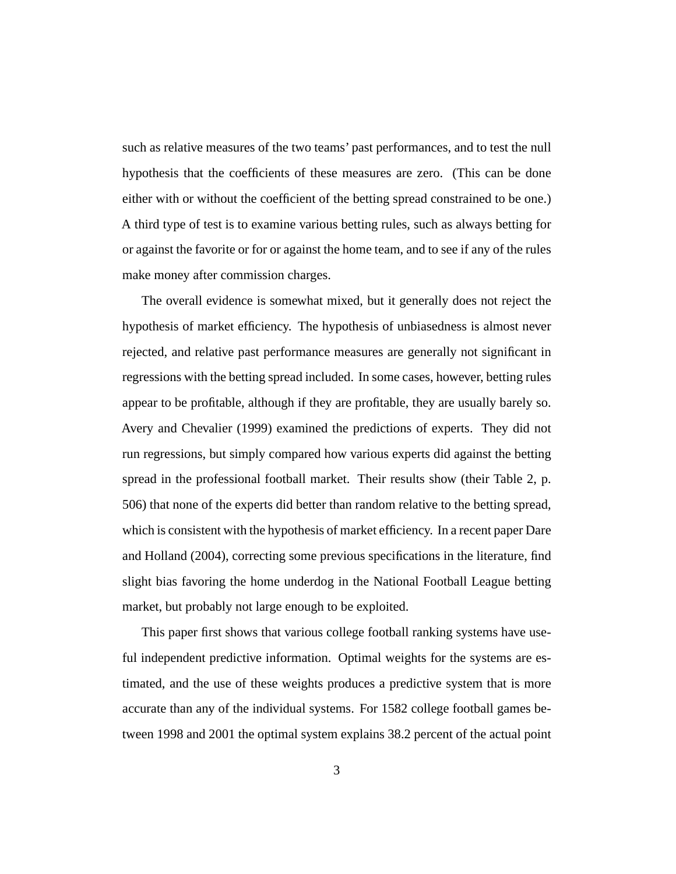such as relative measures of the two teams' past performances, and to test the null hypothesis that the coefficients of these measures are zero. (This can be done either with or without the coefficient of the betting spread constrained to be one.) A third type of test is to examine various betting rules, such as always betting for or against the favorite or for or against the home team, and to see if any of the rules make money after commission charges.

The overall evidence is somewhat mixed, but it generally does not reject the hypothesis of market efficiency. The hypothesis of unbiasedness is almost never rejected, and relative past performance measures are generally not significant in regressions with the betting spread included. In some cases, however, betting rules appear to be profitable, although if they are profitable, they are usually barely so. Avery and Chevalier (1999) examined the predictions of experts. They did not run regressions, but simply compared how various experts did against the betting spread in the professional football market. Their results show (their Table 2, p. 506) that none of the experts did better than random relative to the betting spread, which is consistent with the hypothesis of market efficiency. In a recent paper Dare and Holland (2004), correcting some previous specifications in the literature, find slight bias favoring the home underdog in the National Football League betting market, but probably not large enough to be exploited.

This paper first shows that various college football ranking systems have useful independent predictive information. Optimal weights for the systems are estimated, and the use of these weights produces a predictive system that is more accurate than any of the individual systems. For 1582 college football games between 1998 and 2001 the optimal system explains 38.2 percent of the actual point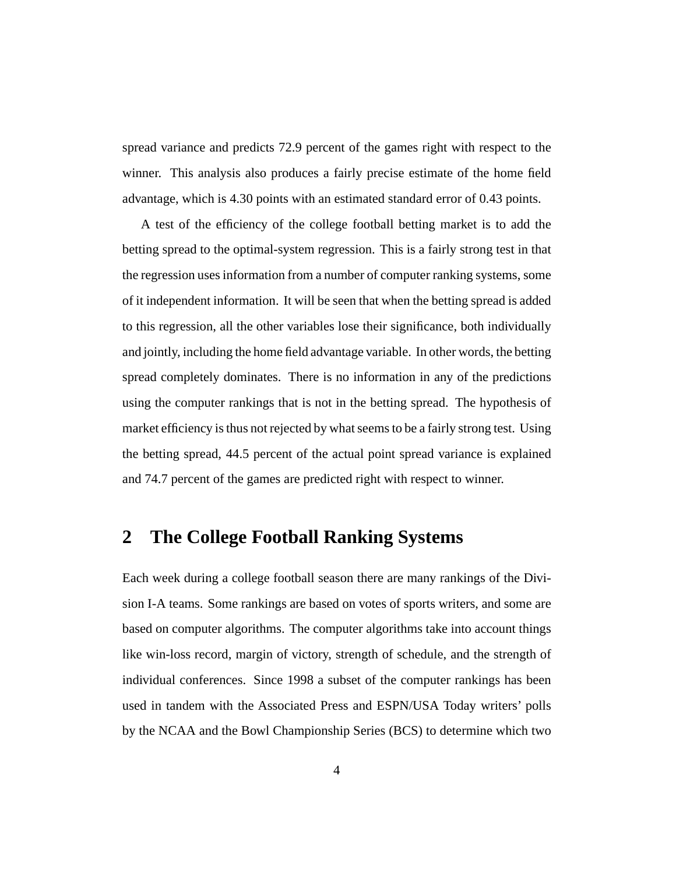spread variance and predicts 72.9 percent of the games right with respect to the winner. This analysis also produces a fairly precise estimate of the home field advantage, which is 4.30 points with an estimated standard error of 0.43 points.

A test of the efficiency of the college football betting market is to add the betting spread to the optimal-system regression. This is a fairly strong test in that the regression uses information from a number of computer ranking systems, some of it independent information. It will be seen that when the betting spread is added to this regression, all the other variables lose their significance, both individually and jointly, including the home field advantage variable. In other words, the betting spread completely dominates. There is no information in any of the predictions using the computer rankings that is not in the betting spread. The hypothesis of market efficiency is thus not rejected by what seems to be a fairly strong test. Using the betting spread, 44.5 percent of the actual point spread variance is explained and 74.7 percent of the games are predicted right with respect to winner.

#### **2 The College Football Ranking Systems**

Each week during a college football season there are many rankings of the Division I-A teams. Some rankings are based on votes of sports writers, and some are based on computer algorithms. The computer algorithms take into account things like win-loss record, margin of victory, strength of schedule, and the strength of individual conferences. Since 1998 a subset of the computer rankings has been used in tandem with the Associated Press and ESPN/USA Today writers' polls by the NCAA and the Bowl Championship Series (BCS) to determine which two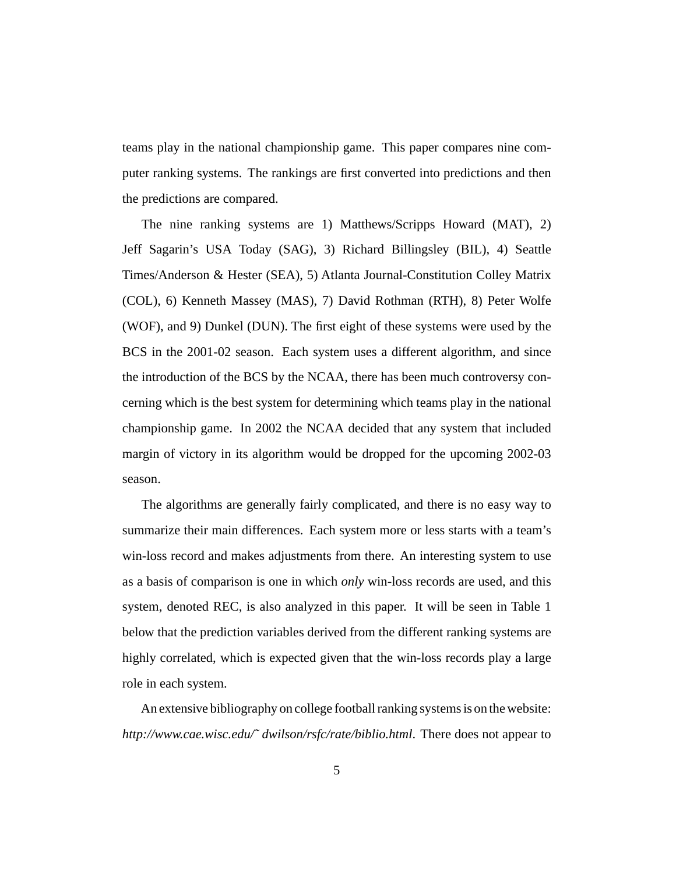teams play in the national championship game. This paper compares nine computer ranking systems. The rankings are first converted into predictions and then the predictions are compared.

The nine ranking systems are 1) Matthews/Scripps Howard (MAT), 2) Jeff Sagarin's USA Today (SAG), 3) Richard Billingsley (BIL), 4) Seattle Times/Anderson & Hester (SEA), 5) Atlanta Journal-Constitution Colley Matrix (COL), 6) Kenneth Massey (MAS), 7) David Rothman (RTH), 8) Peter Wolfe (WOF), and 9) Dunkel (DUN). The first eight of these systems were used by the BCS in the 2001-02 season. Each system uses a different algorithm, and since the introduction of the BCS by the NCAA, there has been much controversy concerning which is the best system for determining which teams play in the national championship game. In 2002 the NCAA decided that any system that included margin of victory in its algorithm would be dropped for the upcoming 2002-03 season.

The algorithms are generally fairly complicated, and there is no easy way to summarize their main differences. Each system more or less starts with a team's win-loss record and makes adjustments from there. An interesting system to use as a basis of comparison is one in which *only* win-loss records are used, and this system, denoted REC, is also analyzed in this paper. It will be seen in Table 1 below that the prediction variables derived from the different ranking systems are highly correlated, which is expected given that the win-loss records play a large role in each system.

An extensive bibliography on college football ranking systems is on the website: *http://www.cae.wisc.edu/˜ dwilson/rsfc/rate/biblio.html*. There does not appear to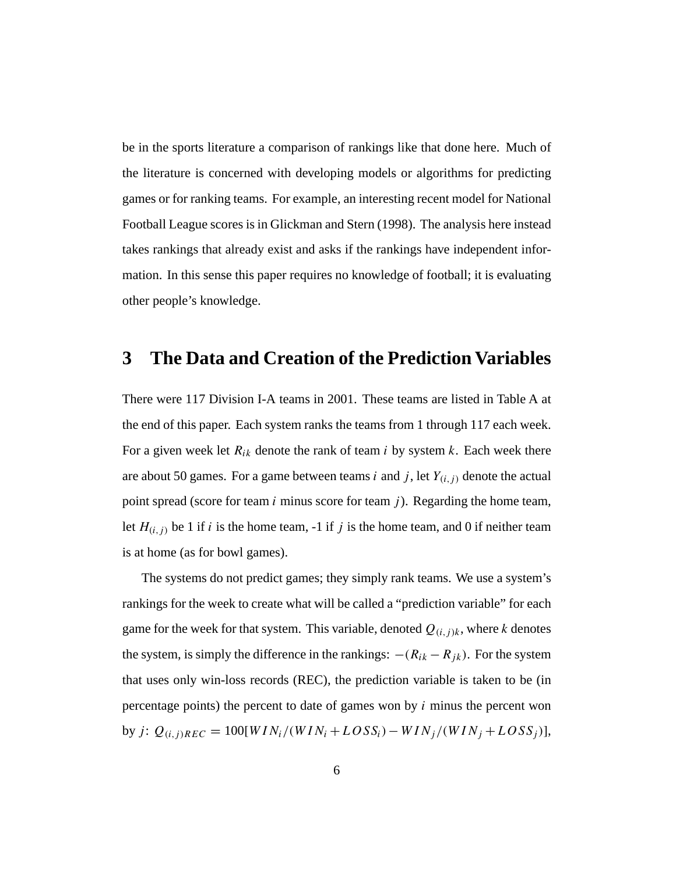be in the sports literature a comparison of rankings like that done here. Much of the literature is concerned with developing models or algorithms for predicting games or for ranking teams. For example, an interesting recent model for National Football League scores is in Glickman and Stern (1998). The analysis here instead takes rankings that already exist and asks if the rankings have independent information. In this sense this paper requires no knowledge of football; it is evaluating other people's knowledge.

#### **3 The Data and Creation of the Prediction Variables**

There were 117 Division I-A teams in 2001. These teams are listed in Table A at the end of this paper. Each system ranks the teams from 1 through 117 each week. For a given week let  $R_{ik}$  denote the rank of team i by system k. Each week there are about 50 games. For a game between teams *i* and *j*, let  $Y_{(i,j)}$  denote the actual point spread (score for team  $i$  minus score for team  $j$ ). Regarding the home team, let  $H(i, j)$  be 1 if i is the home team, -1 if j is the home team, and 0 if neither team is at home (as for bowl games).

The systems do not predict games; they simply rank teams. We use a system's rankings for the week to create what will be called a "prediction variable" for each game for the week for that system. This variable, denoted  $Q_{(i,j)k}$ , where k denotes the system, is simply the difference in the rankings:  $-(R_{ik} - R_{jk})$ . For the system that uses only win-loss records (REC), the prediction variable is taken to be (in percentage points) the percent to date of games won by  $i$  minus the percent won by  $j: Q_{(i,j)REC} = 100[WIN_i/(WIN_i + LOS_i) -WIN_j/(WIN_j + LOS_i)],$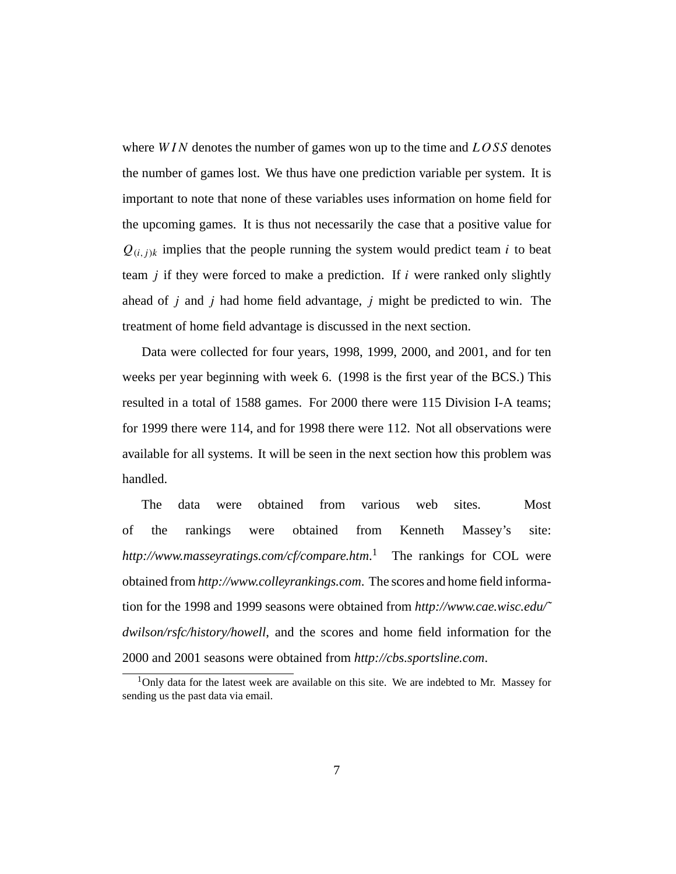where  $WIN$  denotes the number of games won up to the time and  $LOSS$  denotes the number of games lost. We thus have one prediction variable per system. It is important to note that none of these variables uses information on home field for the upcoming games. It is thus not necessarily the case that a positive value for  $Q_{(i,j)k}$  implies that the people running the system would predict team i to beat team *i* if they were forced to make a prediction. If i were ranked only slightly ahead of  $j$  and  $j$  had home field advantage,  $j$  might be predicted to win. The treatment of home field advantage is discussed in the next section.

Data were collected for four years, 1998, 1999, 2000, and 2001, and for ten weeks per year beginning with week 6. (1998 is the first year of the BCS.) This resulted in a total of 1588 games. For 2000 there were 115 Division I-A teams; for 1999 there were 114, and for 1998 there were 112. Not all observations were available for all systems. It will be seen in the next section how this problem was handled.

The data were obtained from various web sites. Most of the rankings were obtained from Kenneth Massey's site: *http://www.masseyratings.com/cf/compare.htm*. <sup>1</sup> The rankings for COL were obtained from *http://www.colleyrankings.com*. The scores and home field information for the 1998 and 1999 seasons were obtained from *http://www.cae.wisc.edu/˜ dwilson/rsfc/history/howell*, and the scores and home field information for the 2000 and 2001 seasons were obtained from *http://cbs.sportsline.com*.

<sup>1</sup>Only data for the latest week are available on this site. We are indebted to Mr. Massey for sending us the past data via email.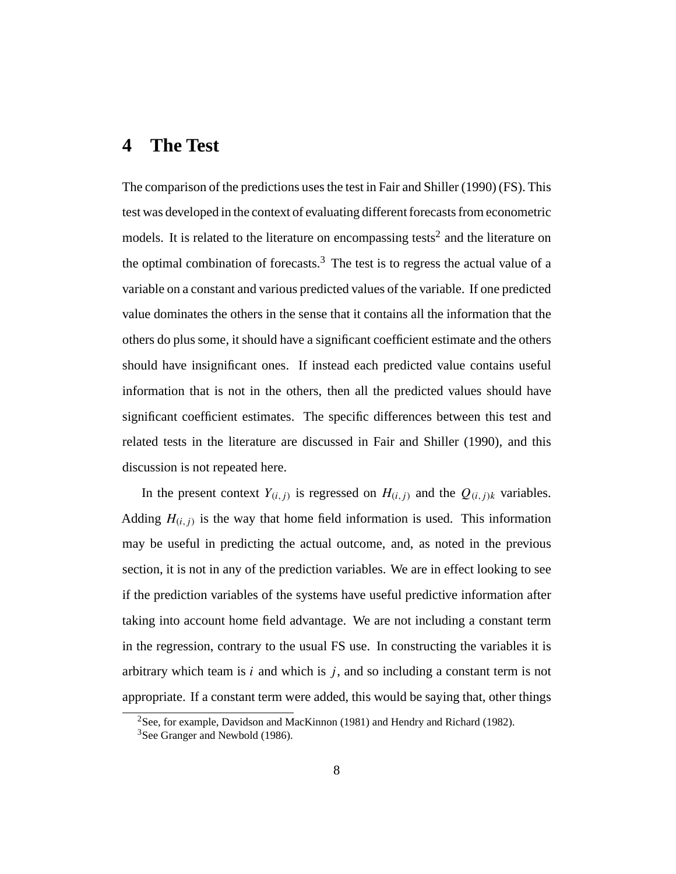### **4 The Test**

The comparison of the predictions uses the test in Fair and Shiller (1990) (FS). This test was developed in the context of evaluating different forecasts from econometric models. It is related to the literature on encompassing tests<sup>2</sup> and the literature on the optimal combination of forecasts.<sup>3</sup> The test is to regress the actual value of a variable on a constant and various predicted values of the variable. If one predicted value dominates the others in the sense that it contains all the information that the others do plus some, it should have a significant coefficient estimate and the others should have insignificant ones. If instead each predicted value contains useful information that is not in the others, then all the predicted values should have significant coefficient estimates. The specific differences between this test and related tests in the literature are discussed in Fair and Shiller (1990), and this discussion is not repeated here.

In the present context  $Y_{(i,j)}$  is regressed on  $H_{(i,j)}$  and the  $Q_{(i,j)k}$  variables. Adding  $H(i, j)$  is the way that home field information is used. This information may be useful in predicting the actual outcome, and, as noted in the previous section, it is not in any of the prediction variables. We are in effect looking to see if the prediction variables of the systems have useful predictive information after taking into account home field advantage. We are not including a constant term in the regression, contrary to the usual FS use. In constructing the variables it is arbitrary which team is  $i$  and which is  $j$ , and so including a constant term is not appropriate. If a constant term were added, this would be saying that, other things

<sup>&</sup>lt;sup>2</sup>See, for example, Davidson and MacKinnon (1981) and Hendry and Richard (1982).

<sup>&</sup>lt;sup>3</sup>See Granger and Newbold (1986).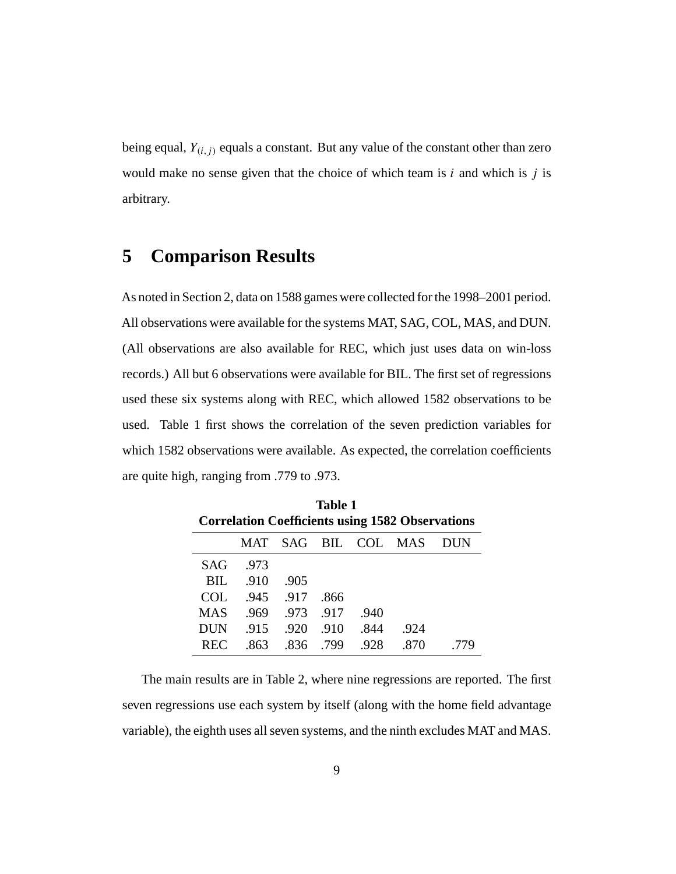being equal,  $Y_{(i,j)}$  equals a constant. But any value of the constant other than zero would make no sense given that the choice of which team is  $i$  and which is  $j$  is arbitrary.

### **5 Comparison Results**

As noted in Section 2, data on 1588 games were collected for the 1998–2001 period. All observations were available for the systems MAT, SAG, COL, MAS, and DUN. (All observations are also available for REC, which just uses data on win-loss records.) All but 6 observations were available for BIL. The first set of regressions used these six systems along with REC, which allowed 1582 observations to be used. Table 1 first shows the correlation of the seven prediction variables for which 1582 observations were available. As expected, the correlation coefficients are quite high, ranging from .779 to .973.

|                                                         | <b>Table 1</b>                                 |      |      |      |      |  |  |  |  |  |  |  |
|---------------------------------------------------------|------------------------------------------------|------|------|------|------|--|--|--|--|--|--|--|
| <b>Correlation Coefficients using 1582 Observations</b> |                                                |      |      |      |      |  |  |  |  |  |  |  |
|                                                         | <b>MAT</b><br><b>SAG</b><br>BIL COL MAS<br>DUN |      |      |      |      |  |  |  |  |  |  |  |
| SAG                                                     | .973                                           |      |      |      |      |  |  |  |  |  |  |  |
| BIL                                                     | -910                                           | .905 |      |      |      |  |  |  |  |  |  |  |
| COL.                                                    | .945                                           | .917 | .866 |      |      |  |  |  |  |  |  |  |
| <b>MAS</b>                                              | .969                                           | .973 | .917 | .940 |      |  |  |  |  |  |  |  |
| DUN                                                     | .915                                           | -920 | .910 | .844 | .924 |  |  |  |  |  |  |  |
| <b>REC</b>                                              | -863                                           | -836 | -799 | -928 |      |  |  |  |  |  |  |  |

The main results are in Table 2, where nine regressions are reported. The first seven regressions use each system by itself (along with the home field advantage variable), the eighth uses all seven systems, and the ninth excludes MAT and MAS.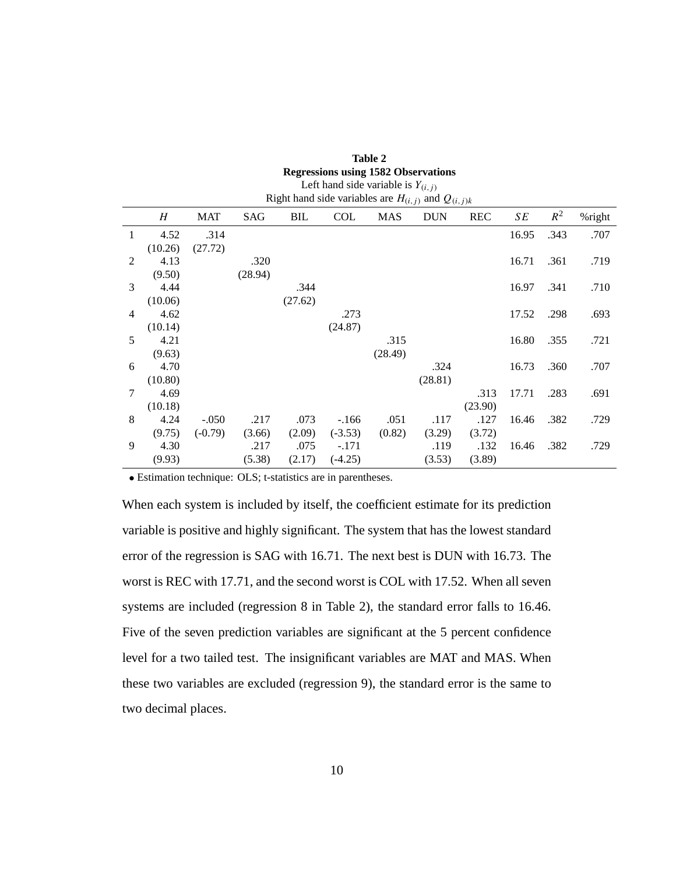|   | <b>Regressions using 1582 Observations</b><br>Left hand side variable is $Y_{(i,j)}$ |            |            |            |            |            |            |            |       |       |        |  |  |
|---|--------------------------------------------------------------------------------------|------------|------------|------------|------------|------------|------------|------------|-------|-------|--------|--|--|
|   | Right hand side variables are $H(i, j)$ and $Q(i, j)k$                               |            |            |            |            |            |            |            |       |       |        |  |  |
|   | H                                                                                    | <b>MAT</b> | <b>SAG</b> | <b>BIL</b> | <b>COL</b> | <b>MAS</b> | <b>DUN</b> | <b>REC</b> | SE    | $R^2$ | %right |  |  |
| 1 | 4.52                                                                                 | .314       |            |            |            |            |            |            | 16.95 | .343  | .707   |  |  |
|   | (10.26)                                                                              | (27.72)    |            |            |            |            |            |            |       |       |        |  |  |
| 2 | 4.13                                                                                 |            | .320       |            |            |            |            |            | 16.71 | .361  | .719   |  |  |
|   | (9.50)                                                                               |            | (28.94)    |            |            |            |            |            |       |       |        |  |  |
| 3 | 4.44                                                                                 |            |            | .344       |            |            |            |            | 16.97 | .341  | .710   |  |  |
|   | (10.06)                                                                              |            |            | (27.62)    |            |            |            |            |       |       |        |  |  |
| 4 | 4.62                                                                                 |            |            |            | .273       |            |            |            | 17.52 | .298  | .693   |  |  |
|   | (10.14)                                                                              |            |            |            | (24.87)    |            |            |            |       |       |        |  |  |
| 5 | 4.21                                                                                 |            |            |            |            | .315       |            |            | 16.80 | .355  | .721   |  |  |
|   | (9.63)                                                                               |            |            |            |            | (28.49)    |            |            |       |       |        |  |  |
| 6 | 4.70                                                                                 |            |            |            |            |            | .324       |            | 16.73 | .360  | .707   |  |  |
|   | (10.80)                                                                              |            |            |            |            |            | (28.81)    |            |       |       |        |  |  |
| 7 | 4.69                                                                                 |            |            |            |            |            |            | .313       | 17.71 | .283  | .691   |  |  |
|   | (10.18)                                                                              |            |            |            |            |            |            | (23.90)    |       |       |        |  |  |
| 8 | 4.24                                                                                 | $-.050$    | .217       | .073       | $-.166$    | .051       | .117       | .127       | 16.46 | .382  | .729   |  |  |
|   | (9.75)                                                                               | $(-0.79)$  | (3.66)     | (2.09)     | $(-3.53)$  | (0.82)     | (3.29)     | (3.72)     |       |       |        |  |  |
| 9 | 4.30                                                                                 |            | .217       | .075       | $-.171$    |            | .119       | .132       | 16.46 | .382  | .729   |  |  |
|   | (9.93)                                                                               |            | (5.38)     | (2.17)     | $(-4.25)$  |            | (3.53)     | (3.89)     |       |       |        |  |  |

**Table 2**

• Estimation technique: OLS; t-statistics are in parentheses.

When each system is included by itself, the coefficient estimate for its prediction variable is positive and highly significant. The system that has the lowest standard error of the regression is SAG with 16.71. The next best is DUN with 16.73. The worst is REC with 17.71, and the second worst is COL with 17.52. When all seven systems are included (regression 8 in Table 2), the standard error falls to 16.46. Five of the seven prediction variables are significant at the 5 percent confidence level for a two tailed test. The insignificant variables are MAT and MAS. When these two variables are excluded (regression 9), the standard error is the same to two decimal places.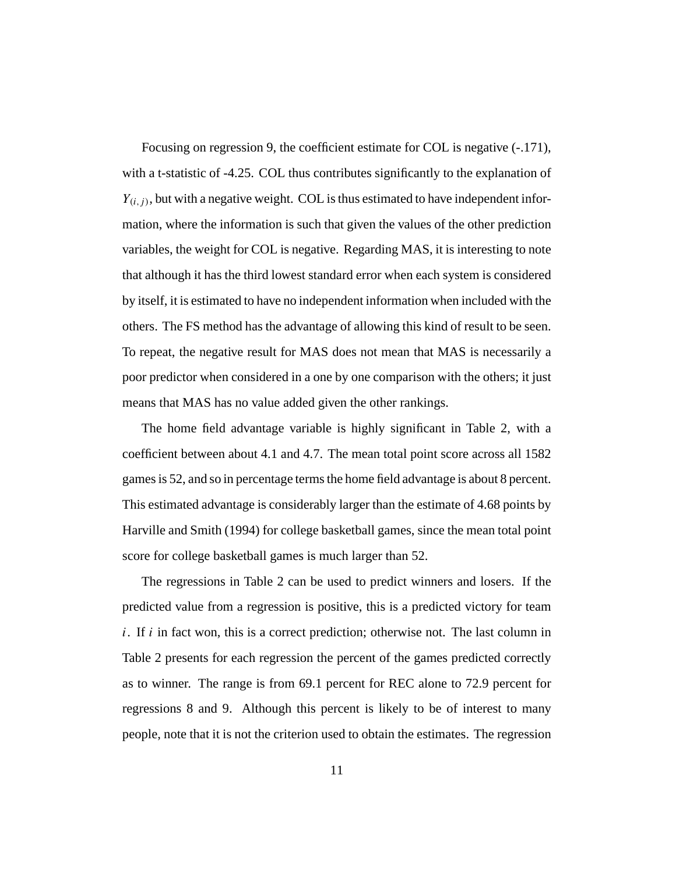Focusing on regression 9, the coefficient estimate for COL is negative (-.171), with a t-statistic of -4.25. COL thus contributes significantly to the explanation of  $Y_{(i,j)}$ , but with a negative weight. COL is thus estimated to have independent information, where the information is such that given the values of the other prediction variables, the weight for COL is negative. Regarding MAS, it is interesting to note that although it has the third lowest standard error when each system is considered by itself, it is estimated to have no independent information when included with the others. The FS method has the advantage of allowing this kind of result to be seen. To repeat, the negative result for MAS does not mean that MAS is necessarily a poor predictor when considered in a one by one comparison with the others; it just means that MAS has no value added given the other rankings.

The home field advantage variable is highly significant in Table 2, with a coefficient between about 4.1 and 4.7. The mean total point score across all 1582 games is 52, and so in percentage terms the home field advantage is about 8 percent. This estimated advantage is considerably larger than the estimate of 4.68 points by Harville and Smith (1994) for college basketball games, since the mean total point score for college basketball games is much larger than 52.

The regressions in Table 2 can be used to predict winners and losers. If the predicted value from a regression is positive, this is a predicted victory for team  $i$ . If  $i$  in fact won, this is a correct prediction; otherwise not. The last column in Table 2 presents for each regression the percent of the games predicted correctly as to winner. The range is from 69.1 percent for REC alone to 72.9 percent for regressions 8 and 9. Although this percent is likely to be of interest to many people, note that it is not the criterion used to obtain the estimates. The regression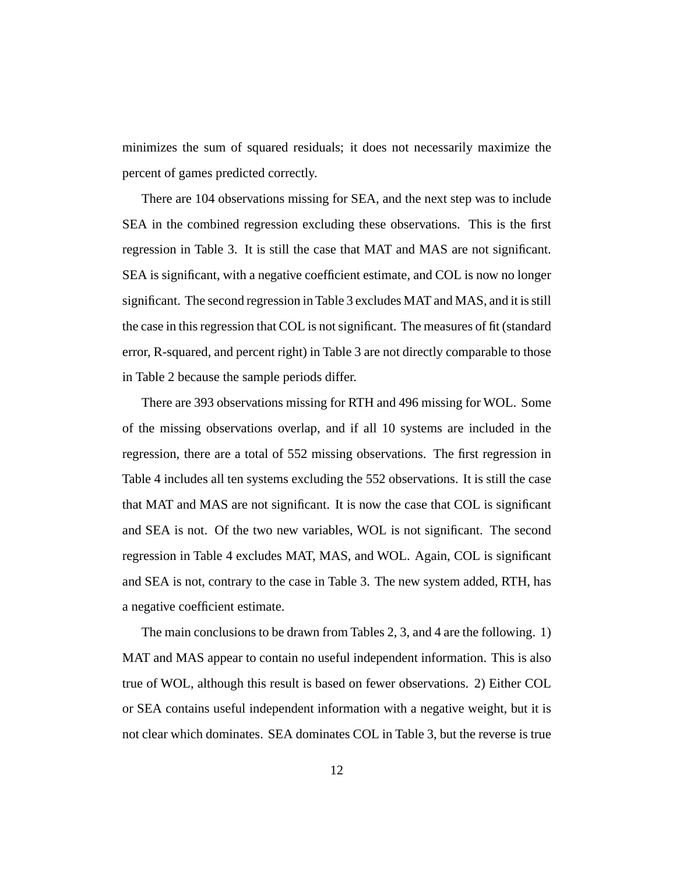minimizes the sum of squared residuals; it does not necessarily maximize the percent of games predicted correctly.

There are 104 observations missing for SEA, and the next step was to include SEA in the combined regression excluding these observations. This is the first regression in Table 3. It is still the case that MAT and MAS are not significant. SEA is significant, with a negative coefficient estimate, and COL is now no longer significant. The second regression in Table 3 excludes MAT and MAS, and it is still the case in this regression that COL is not significant. The measures of fit (standard error, R-squared, and percent right) in Table 3 are not directly comparable to those in Table 2 because the sample periods differ.

There are 393 observations missing for RTH and 496 missing for WOL. Some of the missing observations overlap, and if all 10 systems are included in the regression, there are a total of 552 missing observations. The first regression in Table 4 includes all ten systems excluding the 552 observations. It is still the case that MAT and MAS are not significant. It is now the case that COL is significant and SEA is not. Of the two new variables, WOL is not significant. The second regression in Table 4 excludes MAT, MAS, and WOL. Again, COL is significant and SEA is not, contrary to the case in Table 3. The new system added, RTH, has a negative coefficient estimate.

The main conclusions to be drawn from Tables 2, 3, and 4 are the following. 1) MAT and MAS appear to contain no useful independent information. This is also true of WOL, although this result is based on fewer observations. 2) Either COL or SEA contains useful independent information with a negative weight, but it is not clear which dominates. SEA dominates COL in Table 3, but the reverse is true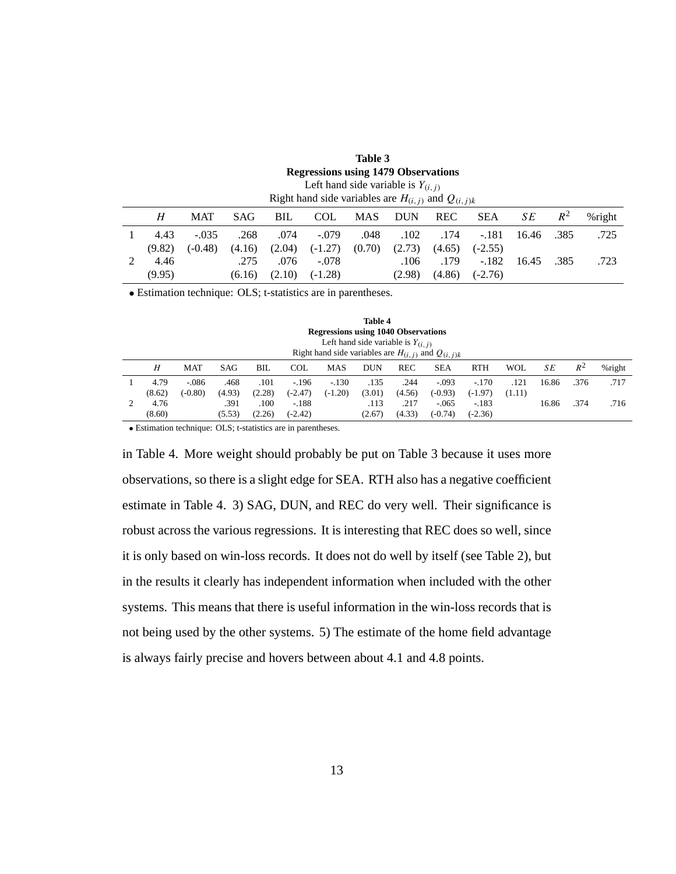| Regressions using 1477 Obset validits                  |           |        |        |            |        |            |            |            |       |       |        |
|--------------------------------------------------------|-----------|--------|--------|------------|--------|------------|------------|------------|-------|-------|--------|
| Left hand side variable is $Y_{(i, i)}$                |           |        |        |            |        |            |            |            |       |       |        |
| Right hand side variables are $H(i, i)$ and $Q(i, i)k$ |           |        |        |            |        |            |            |            |       |       |        |
| H                                                      | MAT       | SAG    | BIL    | <b>COL</b> | MAS    | <b>DUN</b> | <b>REC</b> | <b>SEA</b> | SЕ    | $R^2$ | %right |
| 4.43                                                   | $-.035$   | .268   | .074   | $-.079$    | .048   | .102       | .174       | $-.181$    | 16.46 | .385  | .725   |
| (9.82)                                                 | $(-0.48)$ | (4.16) | (2.04) | $(-1.27)$  | (0.70) | (2.73)     | (4.65)     | $(-2.55)$  |       |       |        |
| 4.46                                                   |           | .275   | .076   | $-.078$    |        | .106       | .179       | $-.182$    | 16.45 | .385  | .723   |
| (9.95)                                                 |           | (6.16) | (2.10) | $(-1.28)$  |        | (2.98)     | (4.86)     | $(-2.76)$  |       |       |        |

**Table 3 Regressions using 1479 Observations**

• Estimation technique: OLS; t-statistics are in parentheses.

| <b>Table 4</b>                             |  |  |  |  |  |  |  |
|--------------------------------------------|--|--|--|--|--|--|--|
| <b>Regressions using 1040 Observations</b> |  |  |  |  |  |  |  |
| Left hand side variable is $Y_{(i, j)}$    |  |  |  |  |  |  |  |

| Right hand side variables are $H(i, j)$ and $Q(i, j)k$ |           |        |        |           |           |            |            |            |            |            |       |       |        |
|--------------------------------------------------------|-----------|--------|--------|-----------|-----------|------------|------------|------------|------------|------------|-------|-------|--------|
| Η                                                      | MAT       | SAG    | ВIL    | COL       | MAS       | <b>DUN</b> | <b>REC</b> | <b>SEA</b> | <b>RTH</b> | <b>WOL</b> | SЕ    | $R^2$ | %right |
| 4.79                                                   | $-.086$   | .468   | .101   | $-196$    | $-.130$   | .135       | .244       | $-.093$    | $-.170$    | .121       | 16.86 | .376  | .717   |
| (8.62)                                                 | $(-0.80)$ | (4.93) | (2.28) | $(-2.47)$ | $(-1.20)$ | (3.01)     | (4.56)     | $(-0.93)$  | $(-1.97)$  | (1.11)     |       |       |        |
| 4.76                                                   |           | .391   | .100   | $-.188$   |           | .113       | .217       | $-.065$    | $-183$     |            | 16.86 | .374  | .716   |
| (8.60)                                                 |           | (5.53) | (2.26) | $(-2.42)$ |           | (2.67)     | (4.33)     | $(-0.74)$  | $(-2.36)$  |            |       |       |        |

• Estimation technique: OLS; t-statistics are in parentheses.

in Table 4. More weight should probably be put on Table 3 because it uses more observations, so there is a slight edge for SEA. RTH also has a negative coefficient estimate in Table 4. 3) SAG, DUN, and REC do very well. Their significance is robust across the various regressions. It is interesting that REC does so well, since it is only based on win-loss records. It does not do well by itself (see Table 2), but in the results it clearly has independent information when included with the other systems. This means that there is useful information in the win-loss records that is not being used by the other systems. 5) The estimate of the home field advantage is always fairly precise and hovers between about 4.1 and 4.8 points.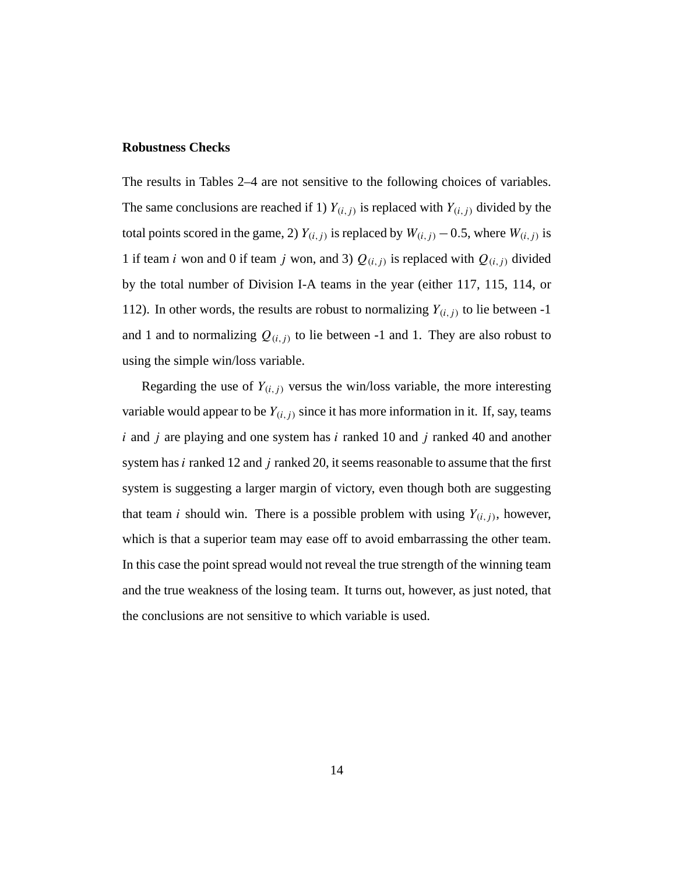#### **Robustness Checks**

The results in Tables 2–4 are not sensitive to the following choices of variables. The same conclusions are reached if 1)  $Y_{(i,j)}$  is replaced with  $Y_{(i,j)}$  divided by the total points scored in the game, 2)  $Y_{(i,j)}$  is replaced by  $W_{(i,j)} - 0.5$ , where  $W_{(i,j)}$  is 1 if team *i* won and 0 if team *j* won, and 3)  $Q_{(i,j)}$  is replaced with  $Q_{(i,j)}$  divided by the total number of Division I-A teams in the year (either 117, 115, 114, or 112). In other words, the results are robust to normalizing  $Y_{(i,j)}$  to lie between -1 and 1 and to normalizing  $Q(i, j)$  to lie between -1 and 1. They are also robust to using the simple win/loss variable.

Regarding the use of  $Y_{(i,j)}$  versus the win/loss variable, the more interesting variable would appear to be  $Y_{(i,j)}$  since it has more information in it. If, say, teams i and j are playing and one system has i ranked 10 and j ranked 40 and another system has  $i$  ranked 12 and  $j$  ranked 20, it seems reasonable to assume that the first system is suggesting a larger margin of victory, even though both are suggesting that team *i* should win. There is a possible problem with using  $Y_{(i,j)}$ , however, which is that a superior team may ease off to avoid embarrassing the other team. In this case the point spread would not reveal the true strength of the winning team and the true weakness of the losing team. It turns out, however, as just noted, that the conclusions are not sensitive to which variable is used.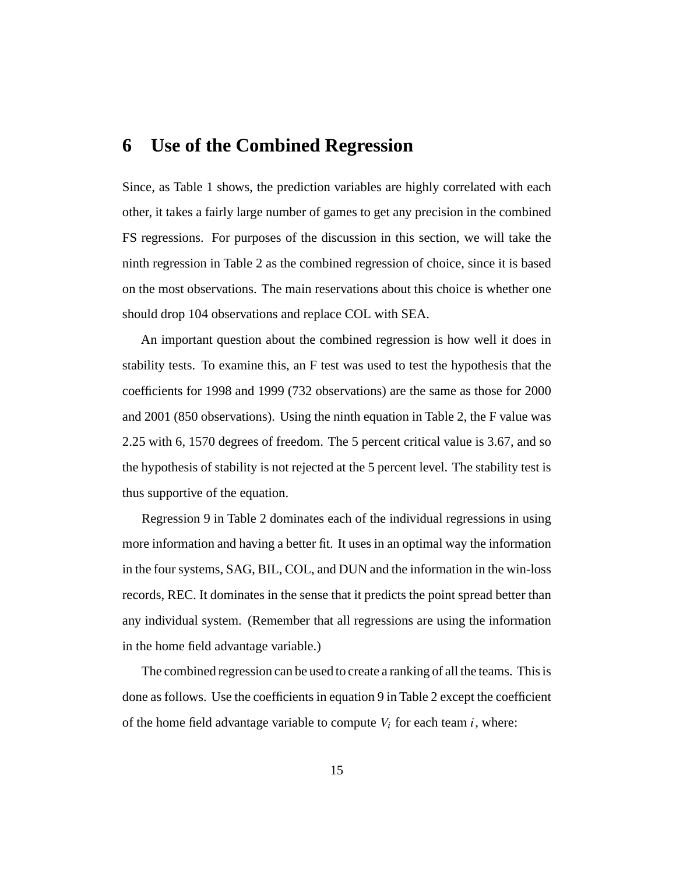#### **6 Use of the Combined Regression**

Since, as Table 1 shows, the prediction variables are highly correlated with each other, it takes a fairly large number of games to get any precision in the combined FS regressions. For purposes of the discussion in this section, we will take the ninth regression in Table 2 as the combined regression of choice, since it is based on the most observations. The main reservations about this choice is whether one should drop 104 observations and replace COL with SEA.

An important question about the combined regression is how well it does in stability tests. To examine this, an F test was used to test the hypothesis that the coefficients for 1998 and 1999 (732 observations) are the same as those for 2000 and 2001 (850 observations). Using the ninth equation in Table 2, the F value was 2.25 with 6, 1570 degrees of freedom. The 5 percent critical value is 3.67, and so the hypothesis of stability is not rejected at the 5 percent level. The stability test is thus supportive of the equation.

Regression 9 in Table 2 dominates each of the individual regressions in using more information and having a better fit. It uses in an optimal way the information in the four systems, SAG, BIL, COL, and DUN and the information in the win-loss records, REC. It dominates in the sense that it predicts the point spread better than any individual system. (Remember that all regressions are using the information in the home field advantage variable.)

The combined regression can be used to create a ranking of all the teams. This is done as follows. Use the coefficients in equation 9 in Table 2 except the coefficient of the home field advantage variable to compute  $V_i$  for each team i, where: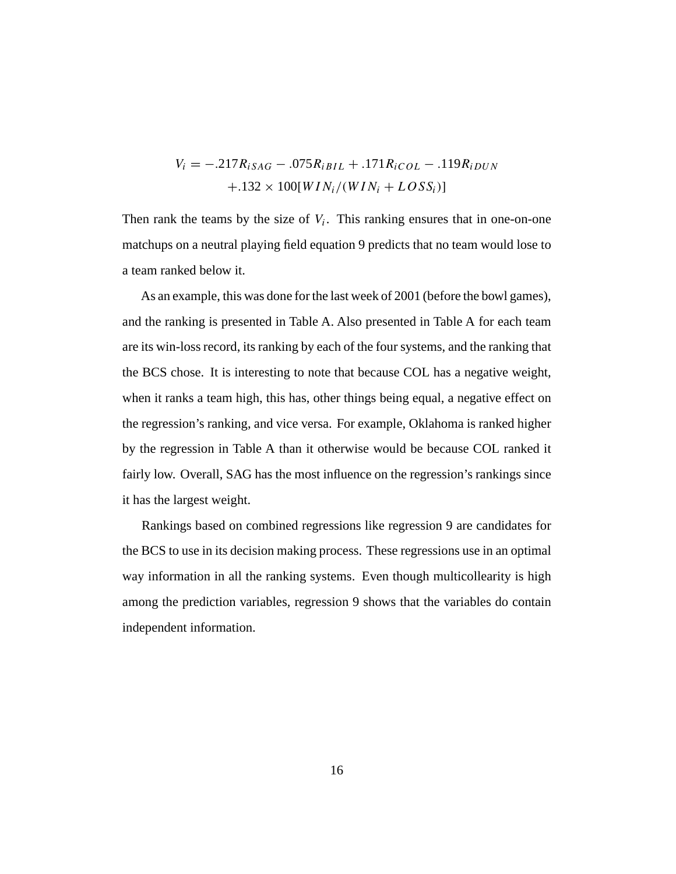$$
V_i = -.217R_{iSAG} - .075R_{iBIL} + .171R_{iCOL} - .119R_{iDUN} + .132 \times 100[WIN_i/(WIN_i + LOSS_i)]
$$

Then rank the teams by the size of  $V_i$ . This ranking ensures that in one-on-one matchups on a neutral playing field equation 9 predicts that no team would lose to a team ranked below it.

As an example, this was done for the last week of 2001 (before the bowl games), and the ranking is presented in Table A. Also presented in Table A for each team are its win-loss record, its ranking by each of the four systems, and the ranking that the BCS chose. It is interesting to note that because COL has a negative weight, when it ranks a team high, this has, other things being equal, a negative effect on the regression's ranking, and vice versa. For example, Oklahoma is ranked higher by the regression in Table A than it otherwise would be because COL ranked it fairly low. Overall, SAG has the most influence on the regression's rankings since it has the largest weight.

Rankings based on combined regressions like regression 9 are candidates for the BCS to use in its decision making process. These regressions use in an optimal way information in all the ranking systems. Even though multicollearity is high among the prediction variables, regression 9 shows that the variables do contain independent information.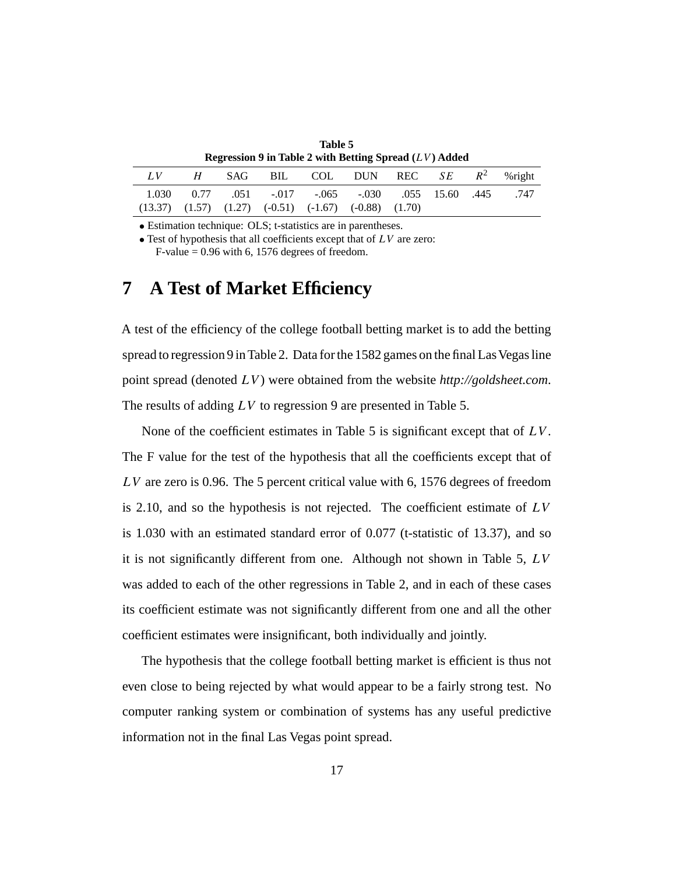| .<br>Regression 9 in Table 2 with Betting Spread (LV) Added |   |     |        |                                |  |  |  |  |  |  |
|-------------------------------------------------------------|---|-----|--------|--------------------------------|--|--|--|--|--|--|
| LV                                                          | H | SAG | - BIL- | COL DUN REC $SE$ $R^2$ % right |  |  |  |  |  |  |

1.030 0.77 .051 -.017 -.065 -.030 .055 15.60 .445 .747

**Table 5**

|  | $(13.37)$ $(1.57)$ $(1.27)$ $(-0.51)$ $(-1.67)$ $(-0.88)$ $(1.70)$ |  |  |
|--|--------------------------------------------------------------------|--|--|
|  |                                                                    |  |  |

• Estimation technique: OLS; t-statistics are in parentheses.

 $\bullet$  Test of hypothesis that all coefficients except that of  $LV$  are zero: F-value  $= 0.96$  with 6, 1576 degrees of freedom.

#### **7 A Test of Market Efficiency**

A test of the efficiency of the college football betting market is to add the betting spread to regression 9 in Table 2. Data for the 1582 games on the final Las Vegas line point spread (denoted LV ) were obtained from the website *http://goldsheet.com*. The results of adding LV to regression 9 are presented in Table 5.

None of the coefficient estimates in Table 5 is significant except that of  $LV$ . The F value for the test of the hypothesis that all the coefficients except that of LV are zero is 0.96. The 5 percent critical value with 6, 1576 degrees of freedom is 2.10, and so the hypothesis is not rejected. The coefficient estimate of  $LV$ is 1.030 with an estimated standard error of 0.077 (t-statistic of 13.37), and so it is not significantly different from one. Although not shown in Table 5, LV was added to each of the other regressions in Table 2, and in each of these cases its coefficient estimate was not significantly different from one and all the other coefficient estimates were insignificant, both individually and jointly.

The hypothesis that the college football betting market is efficient is thus not even close to being rejected by what would appear to be a fairly strong test. No computer ranking system or combination of systems has any useful predictive information not in the final Las Vegas point spread.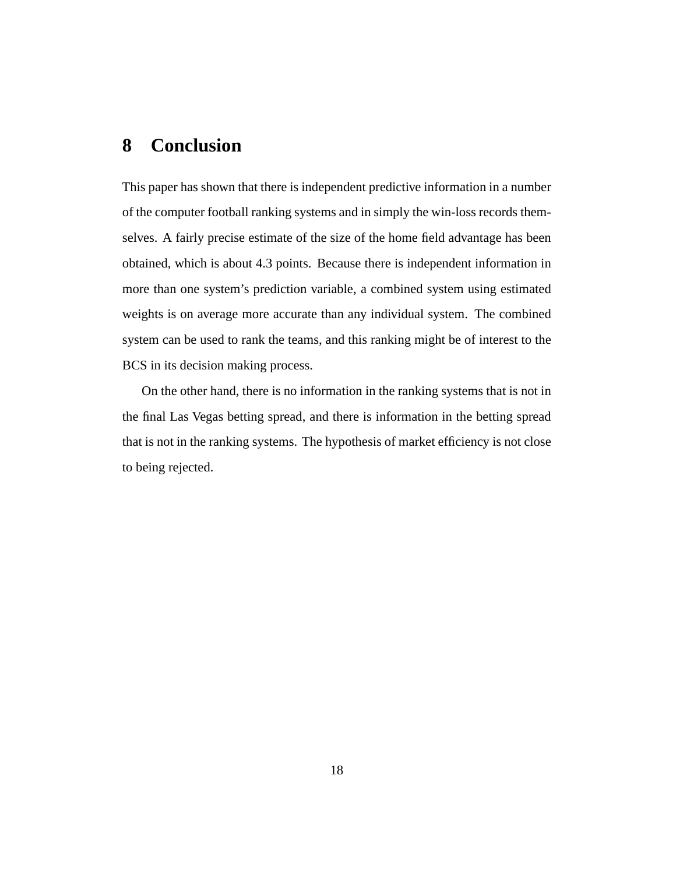## **8 Conclusion**

This paper has shown that there is independent predictive information in a number of the computer football ranking systems and in simply the win-loss records themselves. A fairly precise estimate of the size of the home field advantage has been obtained, which is about 4.3 points. Because there is independent information in more than one system's prediction variable, a combined system using estimated weights is on average more accurate than any individual system. The combined system can be used to rank the teams, and this ranking might be of interest to the BCS in its decision making process.

On the other hand, there is no information in the ranking systems that is not in the final Las Vegas betting spread, and there is information in the betting spread that is not in the ranking systems. The hypothesis of market efficiency is not close to being rejected.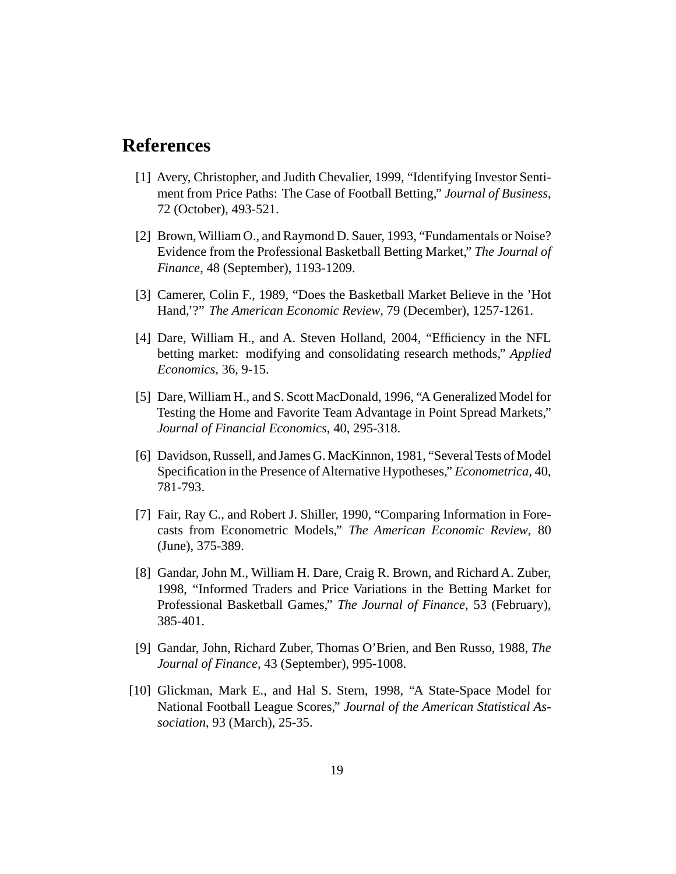#### **References**

- [1] Avery, Christopher, and Judith Chevalier, 1999, "Identifying Investor Sentiment from Price Paths: The Case of Football Betting," *Journal of Business*, 72 (October), 493-521.
- [2] Brown, William O., and Raymond D. Sauer, 1993, "Fundamentals or Noise? Evidence from the Professional Basketball Betting Market," *The Journal of Finance*, 48 (September), 1193-1209.
- [3] Camerer, Colin F., 1989, "Does the Basketball Market Believe in the 'Hot Hand,'?" *The American Economic Review*, 79 (December), 1257-1261.
- [4] Dare, William H., and A. Steven Holland, 2004, "Efficiency in the NFL betting market: modifying and consolidating research methods," *Applied Economics*, 36, 9-15.
- [5] Dare, William H., and S. Scott MacDonald, 1996, "A Generalized Model for Testing the Home and Favorite Team Advantage in Point Spread Markets," *Journal of Financial Economics*, 40, 295-318.
- [6] Davidson, Russell, and James G. MacKinnon, 1981, "Several Tests of Model Specification in the Presence of Alternative Hypotheses," *Econometrica*, 40, 781-793.
- [7] Fair, Ray C., and Robert J. Shiller, 1990, "Comparing Information in Forecasts from Econometric Models," *The American Economic Review*, 80 (June), 375-389.
- [8] Gandar, John M., William H. Dare, Craig R. Brown, and Richard A. Zuber, 1998, "Informed Traders and Price Variations in the Betting Market for Professional Basketball Games," *The Journal of Finance*, 53 (February), 385-401.
- [9] Gandar, John, Richard Zuber, Thomas O'Brien, and Ben Russo, 1988, *The Journal of Finance*, 43 (September), 995-1008.
- [10] Glickman, Mark E., and Hal S. Stern, 1998, "A State-Space Model for National Football League Scores," *Journal of the American Statistical Association*, 93 (March), 25-35.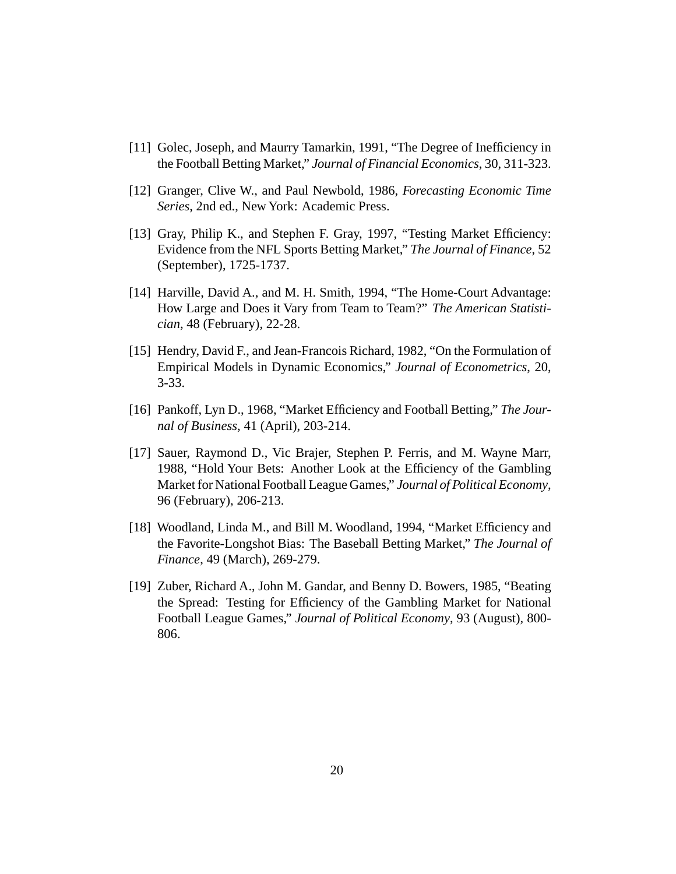- [11] Golec, Joseph, and Maurry Tamarkin, 1991, "The Degree of Inefficiency in the Football Betting Market," *Journal of Financial Economics*, 30, 311-323.
- [12] Granger, Clive W., and Paul Newbold, 1986, *Forecasting Economic Time Series*, 2nd ed., New York: Academic Press.
- [13] Gray, Philip K., and Stephen F. Gray, 1997, "Testing Market Efficiency: Evidence from the NFL Sports Betting Market," *The Journal of Finance*, 52 (September), 1725-1737.
- [14] Harville, David A., and M. H. Smith, 1994, "The Home-Court Advantage: How Large and Does it Vary from Team to Team?" *The American Statistician*, 48 (February), 22-28.
- [15] Hendry, David F., and Jean-Francois Richard, 1982, "On the Formulation of Empirical Models in Dynamic Economics," *Journal of Econometrics*, 20, 3-33.
- [16] Pankoff, Lyn D., 1968, "Market Efficiency and Football Betting," *The Journal of Business*, 41 (April), 203-214.
- [17] Sauer, Raymond D., Vic Brajer, Stephen P. Ferris, and M. Wayne Marr, 1988, "Hold Your Bets: Another Look at the Efficiency of the Gambling Market for National Football League Games," *Journal of Political Economy*, 96 (February), 206-213.
- [18] Woodland, Linda M., and Bill M. Woodland, 1994, "Market Efficiency and the Favorite-Longshot Bias: The Baseball Betting Market," *The Journal of Finance*, 49 (March), 269-279.
- [19] Zuber, Richard A., John M. Gandar, and Benny D. Bowers, 1985, "Beating the Spread: Testing for Efficiency of the Gambling Market for National Football League Games," *Journal of Political Economy*, 93 (August), 800- 806.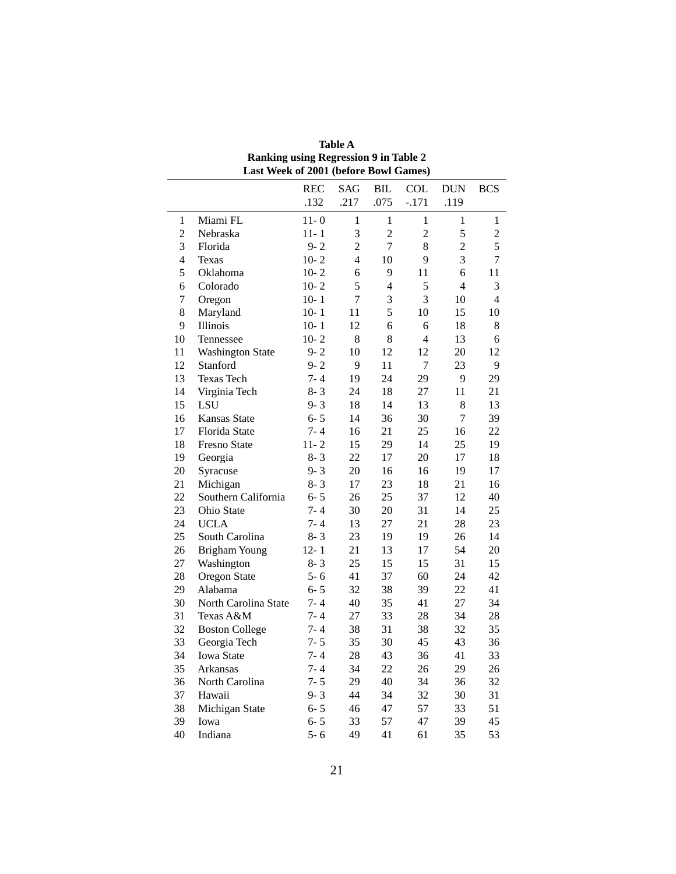|                          | <b>Ranking using Regression 9 in Table 2</b><br>Last Week of 2001 (before Bowl Games) |            |                  |                |                |                |                |
|--------------------------|---------------------------------------------------------------------------------------|------------|------------------|----------------|----------------|----------------|----------------|
|                          |                                                                                       | <b>REC</b> | <b>SAG</b>       | <b>BIL</b>     | <b>COL</b>     | <b>DUN</b>     | <b>BCS</b>     |
|                          |                                                                                       | .132       | .217             | .075           | $-.171$        | .119           |                |
| $\mathbf{1}$             | Miami FL                                                                              | $11 - 0$   | 1                | 1              | $\mathbf{1}$   | $\mathbf{1}$   | 1              |
| $\overline{c}$           | Nebraska                                                                              | $11 - 1$   | 3                | $\overline{c}$ | $\overline{c}$ | 5              | $\overline{2}$ |
| 3                        | Florida                                                                               | $9 - 2$    | $\overline{c}$   | $\overline{7}$ | 8              | $\overline{2}$ | 5              |
| $\overline{\mathcal{L}}$ | Texas                                                                                 | $10 - 2$   | $\overline{4}$   | 10             | 9              | 3              | 7              |
| 5                        | Oklahoma                                                                              | $10 - 2$   | 6                | 9              | 11             | 6              | 11             |
| 6                        | Colorado                                                                              | $10-2$     | 5                | $\overline{4}$ | 5              | 4              | 3              |
| 7                        | Oregon                                                                                | $10 - 1$   | $\boldsymbol{7}$ | 3              | 3              | 10             | $\overline{4}$ |
| 8                        | Maryland                                                                              | $10 - 1$   | 11               | 5              | 10             | 15             | 10             |
| 9                        | Illinois                                                                              | $10 - 1$   | 12               | 6              | 6              | 18             | 8              |
| 10                       | Tennessee                                                                             | $10 - 2$   | 8                | 8              | $\overline{4}$ | 13             | 6              |
| 11                       | <b>Washington State</b>                                                               | $9 - 2$    | 10               | 12             | 12             | 20             | 12             |
| 12                       | Stanford                                                                              | $9 - 2$    | 9                | 11             | $\overline{7}$ | 23             | 9              |
| 13                       | <b>Texas Tech</b>                                                                     | $7 - 4$    | 19               | 24             | 29             | 9              | 29             |
| 14                       | Virginia Tech                                                                         | $8 - 3$    | 24               | 18             | 27             | 11             | 21             |
| 15                       | <b>LSU</b>                                                                            | $9 - 3$    | 18               | 14             | 13             | 8              | 13             |
| 16                       | <b>Kansas State</b>                                                                   | $6 - 5$    | 14               | 36             | 30             | 7              | 39             |
| 17                       | Florida State                                                                         | $7 - 4$    | 16               | 21             | 25             | 16             | 22             |
| 18                       | Fresno State                                                                          | $11 - 2$   | 15               | 29             | 14             | 25             | 19             |
| 19                       | Georgia                                                                               | $8 - 3$    | 22               | 17             | 20             | 17             | 18             |
| 20                       | Syracuse                                                                              | $9 - 3$    | 20               | 16             | 16             | 19             | 17             |
| 21                       | Michigan                                                                              | $8 - 3$    | 17               | 23             | 18             | 21             | 16             |
| 22                       | Southern California                                                                   | $6 - 5$    | 26               | 25             | 37             | 12             | 40             |
| 23                       | Ohio State                                                                            | $7 - 4$    | 30               | 20             | 31             | 14             | 25             |
| 24                       | <b>UCLA</b>                                                                           | $7 - 4$    | 13               | 27             | 21             | 28             | 23             |
| 25                       | South Carolina                                                                        | $8 - 3$    | 23               | 19             | 19             | 26             | 14             |
| 26                       | <b>Brigham Young</b>                                                                  | $12 - 1$   | 21               | 13             | 17             | 54             | 20             |
| 27                       | Washington                                                                            | $8 - 3$    | 25               | 15             | 15             | 31             | 15             |
| 28                       | Oregon State                                                                          | $5 - 6$    | 41               | 37             | 60             | 24             | 42             |
| 29                       | Alabama                                                                               | $6 - 5$    | 32               | 38             | 39             | 22             | 41             |
| 30                       | North Carolina State                                                                  | $7 - 4$    | 40               | 35             | 41             | 27             | 34             |
| 31                       | Texas A&M                                                                             | $7 - 4$    | 27               | 33             | 28             | 34             | 28             |
| 32                       | <b>Boston College</b>                                                                 | $7 - 4$    | 38               | 31             | 38             | 32             | 35             |
| 33                       | Georgia Tech                                                                          | $7 - 5$    | 35               | 30             | 45             | 43             | 36             |
| 34                       | Iowa State                                                                            | $7 - 4$    | 28               | 43             | 36             | 41             | 33             |
| 35                       | Arkansas                                                                              | $7 - 4$    | 34               | 22             | 26             | 29             | 26             |
| 36                       | North Carolina                                                                        | $7 - 5$    | 29               | 40             | 34             | 36             | 32             |
| 37                       | Hawaii                                                                                | $9 - 3$    | 44               | 34             | 32             | 30             | 31             |
| 38                       | Michigan State                                                                        | $6 - 5$    | 46               | 47             | 57             | 33             | 51             |
| 39                       | Iowa                                                                                  | $6 - 5$    | 33               | 57             | 47             | 39             | 45             |
| 40                       | Indiana                                                                               | $5 - 6$    | 49               | 41             | 61             | 35             | 53             |

| <b>Table A</b>                               |
|----------------------------------------------|
| <b>Ranking using Regression 9 in Table 2</b> |
| Last Week of 2001 (before Rowl Games)        |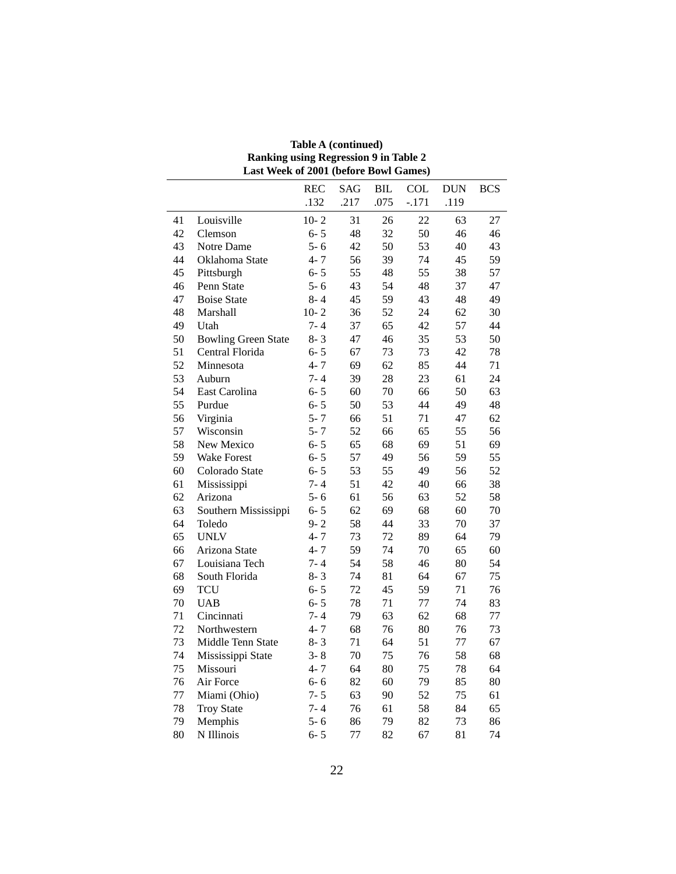|    | $\alpha$ and $\alpha$ as $\alpha$ and $\alpha$ are $\alpha$ and $\alpha$ and $\alpha$<br>Last Week of 2001 (before Bowl Games) |            |            |      |            |            |            |  |  |  |  |  |
|----|--------------------------------------------------------------------------------------------------------------------------------|------------|------------|------|------------|------------|------------|--|--|--|--|--|
|    |                                                                                                                                | <b>REC</b> | <b>SAG</b> | BIL  | <b>COL</b> | <b>DUN</b> | <b>BCS</b> |  |  |  |  |  |
|    |                                                                                                                                | .132       | .217       | .075 | $-.171$    | .119       |            |  |  |  |  |  |
| 41 | Louisville                                                                                                                     | $10 - 2$   | 31         | 26   | 22         | 63         | 27         |  |  |  |  |  |
| 42 | Clemson                                                                                                                        | $6 - 5$    | 48         | 32   | 50         | 46         | 46         |  |  |  |  |  |
| 43 | Notre Dame                                                                                                                     | $5 - 6$    | 42         | 50   | 53         | 40         | 43         |  |  |  |  |  |
| 44 | Oklahoma State                                                                                                                 | $4 - 7$    | 56         | 39   | 74         | 45         | 59         |  |  |  |  |  |
| 45 | Pittsburgh                                                                                                                     | $6 - 5$    | 55         | 48   | 55         | 38         | 57         |  |  |  |  |  |
| 46 | Penn State                                                                                                                     | $5 - 6$    | 43         | 54   | 48         | 37         | 47         |  |  |  |  |  |
| 47 | <b>Boise State</b>                                                                                                             | $8 - 4$    | 45         | 59   | 43         | 48         | 49         |  |  |  |  |  |
| 48 | Marshall                                                                                                                       | $10 - 2$   | 36         | 52   | 24         | 62         | 30         |  |  |  |  |  |
| 49 | Utah                                                                                                                           | $7 - 4$    | 37         | 65   | 42         | 57         | 44         |  |  |  |  |  |
| 50 | <b>Bowling Green State</b>                                                                                                     | $8 - 3$    | 47         | 46   | 35         | 53         | 50         |  |  |  |  |  |
| 51 | Central Florida                                                                                                                | $6 - 5$    | 67         | 73   | 73         | 42         | 78         |  |  |  |  |  |
| 52 | Minnesota                                                                                                                      | $4 - 7$    | 69         | 62   | 85         | 44         | 71         |  |  |  |  |  |
| 53 | Auburn                                                                                                                         | $7 - 4$    | 39         | 28   | 23         | 61         | 24         |  |  |  |  |  |
| 54 | East Carolina                                                                                                                  | $6 - 5$    | 60         | 70   | 66         | 50         | 63         |  |  |  |  |  |
| 55 | Purdue                                                                                                                         | $6 - 5$    | 50         | 53   | 44         | 49         | 48         |  |  |  |  |  |
| 56 | Virginia                                                                                                                       | $5 - 7$    | 66         | 51   | 71         | 47         | 62         |  |  |  |  |  |
| 57 | Wisconsin                                                                                                                      | $5 - 7$    | 52         | 66   | 65         | 55         | 56         |  |  |  |  |  |
| 58 | New Mexico                                                                                                                     | $6 - 5$    | 65         | 68   | 69         | 51         | 69         |  |  |  |  |  |
| 59 | <b>Wake Forest</b>                                                                                                             | $6 - 5$    | 57         | 49   | 56         | 59         | 55         |  |  |  |  |  |
| 60 | Colorado State                                                                                                                 | $6 - 5$    | 53         | 55   | 49         | 56         | 52         |  |  |  |  |  |
| 61 | Mississippi                                                                                                                    | $7 - 4$    | 51         | 42   | 40         | 66         | 38         |  |  |  |  |  |
| 62 | Arizona                                                                                                                        | $5 - 6$    | 61         | 56   | 63         | 52         | 58         |  |  |  |  |  |
| 63 | Southern Mississippi                                                                                                           | $6 - 5$    | 62         | 69   | 68         | 60         | 70         |  |  |  |  |  |
| 64 | Toledo                                                                                                                         | $9 - 2$    | 58         | 44   | 33         | 70         | 37         |  |  |  |  |  |
| 65 | <b>UNLV</b>                                                                                                                    | $4 - 7$    | 73         | 72   | 89         | 64         | 79         |  |  |  |  |  |
| 66 | Arizona State                                                                                                                  | $4 - 7$    | 59         | 74   | 70         | 65         | 60         |  |  |  |  |  |
| 67 | Louisiana Tech                                                                                                                 | $7 - 4$    | 54         | 58   | 46         | 80         | 54         |  |  |  |  |  |
| 68 | South Florida                                                                                                                  | $8 - 3$    | 74         | 81   | 64         | 67         | 75         |  |  |  |  |  |
| 69 | <b>TCU</b>                                                                                                                     | $6 - 5$    | 72         | 45   | 59         | 71         | 76         |  |  |  |  |  |
| 70 | <b>UAB</b>                                                                                                                     | $6 - 5$    | 78         | 71   | 77         | 74         | 83         |  |  |  |  |  |
| 71 | Cincinnati                                                                                                                     | $7 - 4$    | 79         | 63   | 62         | 68         | 77         |  |  |  |  |  |
| 72 | Northwestern                                                                                                                   | $4 - 7$    | 68         | 76   | 80         | 76         | 73         |  |  |  |  |  |
| 73 | Middle Tenn State                                                                                                              | $8 - 3$    | 71         | 64   | 51         | 77         | 67         |  |  |  |  |  |
| 74 | Mississippi State                                                                                                              | $3 - 8$    | $70\,$     | 75   | 76         | 58         | 68         |  |  |  |  |  |
| 75 | Missouri                                                                                                                       | $4 - 7$    | 64         | 80   | 75         | 78         | 64         |  |  |  |  |  |
| 76 | Air Force                                                                                                                      | $6 - 6$    | 82         | 60   | 79         | 85         | 80         |  |  |  |  |  |
| 77 | Miami (Ohio)                                                                                                                   | $7 - 5$    | 63         | 90   | 52         | 75         | 61         |  |  |  |  |  |
| 78 | <b>Troy State</b>                                                                                                              | $7 - 4$    | 76         | 61   | 58         | 84         | 65         |  |  |  |  |  |
| 79 | Memphis                                                                                                                        | $5 - 6$    | 86         | 79   | 82         | 73         | 86         |  |  |  |  |  |
| 80 | N Illinois                                                                                                                     | $6 - 5$    | 77         | 82   | 67         | 81         | 74         |  |  |  |  |  |

### **Table A (continued) Ranking using Regression 9 in Table 2**